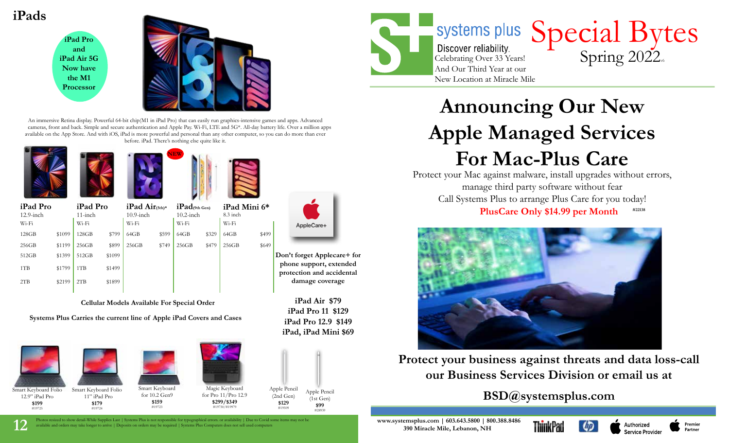





An immersive Retina display. Powerful 64-bit chip(M1 in iPad Pro) that can easily run graphics-intensive games and apps. Advanced cameras, front and back. Simple and secure authentication and Apple Pay. Wi-Fi, LTE and 5G\*. All-day battery life. Over a million apps available on the App Store. And with iOS, iPad is more powerful and personal than any other computer, so you can do more than ever before. iPad. There's nothing else quite like it.









| iPad Pro<br>$12.9$ -inch |        | iPad Pro<br>$11$ -inch |        | $iPad Air(5th)*$<br>$10.9$ -inch |       | $iPad$ (9th Gen)<br>$10.2$ -inch |       | $i$ Pad Mini $6*$<br>$8.3$ inch |       |
|--------------------------|--------|------------------------|--------|----------------------------------|-------|----------------------------------|-------|---------------------------------|-------|
| Wi-Fi                    |        | $W_i-F_i$              |        | $W_i-F_i$                        |       | $W_i-F_i$                        |       | $W_i-F_i$                       |       |
| 128GB                    | \$1099 | 128GB                  | \$799  | 64GB                             | \$599 | 64GB                             | \$329 | 64GB                            | \$499 |
| 256GB                    | \$1199 | 256GB                  | \$899  | 256GB                            | \$749 | 256GB                            | \$479 | 256GB                           | \$649 |
| 512GB                    | \$1399 | 512GB                  | \$1099 |                                  |       |                                  |       |                                 |       |
| 1TB                      | \$1799 | 1T <sub>B</sub>        | \$1499 |                                  |       |                                  |       |                                 |       |
| 2TB                      | \$2199 | 2TB                    | \$1899 |                                  |       |                                  |       |                                 |       |

**Cellular Models Available For Special Order**  $\mathbf{F}$  + Cellular + Cellular + Cellular + Cellular + Cellular + Cellular + Cellular + Cellular + Cellular + Cellular + Cellular + Cellular + Cellular + Cellular + Cellular + Cellular + Cellular + Cellular + Cellular + C

Systems Plus Carries the current line of Apple iPad Covers and Cases



The Photos resized to show detail-While Supplies Last | Systems Plus is not responsible for typographical errors. or availability | Due to Covid some items may not be www.systemsplus.com | 603.643.5800 | 800.388.8486 vailable and orders may take longer to arrive | Deposits on orders may be required | Systems Plus Computers does not sell used computers



**Don't forget Applecare+ for phone support, extended protection and accidental damage coverage**

**iPad Air \$79 iPad Pro 11 \$129 iPad Pro 12.9 \$149 iPad, iPad Mini \$69**



And Our Third Year at our New Location at Miracle Mile

# Special Bytes Celebrating Over 33 Years! Spring 2022

# **Announcing Our New Apple Managed Services For Mac-Plus Care**

Protect your Mac against malware, install upgrades without errors, manage third party software without fear Call Systems Plus to arrange Plus Care for you today! PlusCare Only \$14.99 per Month #22138



**Protect your business against threats and data loss-call our Business Services Division or email us at** 

# **BSD@systemsplus.com**



Service Provider

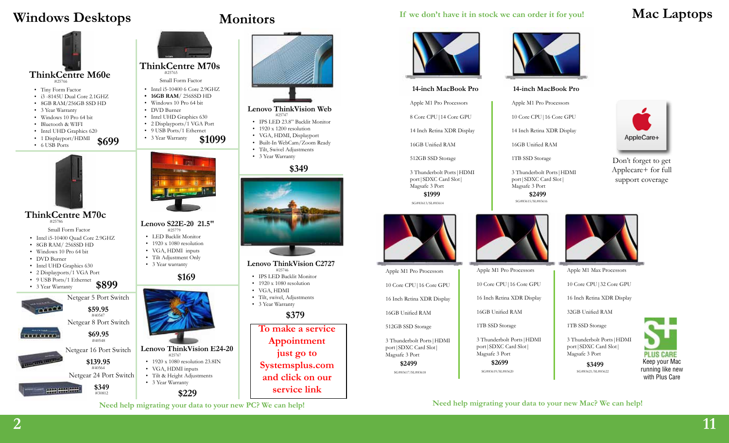# **Windows Desktops Monitors**









- Intel i5-10400 Quad Core 2.9GHZ
- 8GB RAM/ 256SSD HD
- Windows 10 Pro 64 bit
- DVD Burner
- Intel UHD Graphics 630
- 2 Displayports/1 VGA Port

-







#30812

 #25767 • 1920 x 1080 resolution 23.8IN • VGA, HDMI inputs • Tilt & Height Adjustments • 3 Year Warranty

**Lenovo S22E-20 21.5"** 

**ThinkCentre M70s** #25765 Small Form Factor • Intel i5-10400 6 Core 2.9GHZ **• 16GB RAM**/ 256SSD HD • Windows 10 Pro 64 bit • DVD Burner

• Intel UHD Graphics 630 • 2 Displayports/1 VGA Port • 9 USB Ports/1 Ethernet<br>• 3 Year Warranty  $$1099$ 

• 3 Year Warranty

**\$169**

 #25779 • LED Backlit Monitor • 1920 x 1080 resolution • VGA, HDMI inputs • Tilt Adjustment Only • 3 Year warranty

**\$229**

**Need help migrating your data to your new PC? We can help!**



#### **Lenovo ThinkVision Web** #25747

- IPS LED 23.8" Backlit Monitor
- 1920 x 1200 resolution
- VGA, HDMI, Displayport
- Built-In WebCam/Zoom Ready
- Tilt, Swivel Adjustments
- 3 Year Warranty

### **\$349**



### **Lenovo ThinkVision C2727**

- #25746 • IPS LED Backlit Monitor
- 1920 x 1080 resolution
- VGA, HDMI
- Tilt, swivel, Adjustments • 3 Year Warranty

### **\$379**

**To make a service Appointment just go to Systemsplus.com and click on our service link**

### **If we don't have it in stock we can order it for you! Mac Laptops**



#### **14-inch MacBook Pro**

Apple M1 Pro Processors 8 Core CPU|14 Core GPU

14 Inch Retina XDR Display

16GB Unified RAM

512GB SSD Storage

3 Thunderbolt Ports|HDMI port|SDXC Card Slot| Magsafe 3 Port **\$1999 \$2499 \$2499** 

SG#83613/SL#83614



Apple M1 Pro Processors 10 Core CPU|16 Core GPU 16 Inch Retina XDR Display 16GB Unified RAM 512GB SSD Storage

3 Thunderbolt Ports|HDMI port|SDXC Card Slot| Magsafe 3 Port **\$2499**

SG#83617/SL#83618



#### **14-inch MacBook Pro**

14 Inch Retina XDR Display

16GB Unified RAM

1TB SSD Storage

Magsafe 3 Port



Apple M1 Pro Processors 10 Core CPU|16 Core GPU

16 Inch Retina XDR Display

16GB Unified RAM

1TB SSD Storage

3 Thunderbolt Ports|HDMI port|SDXC Card Slot| Magsafe 3 Port

**\$2699**









3 Thunderbolt Ports|HDMI port|SDXC Card Slot|





Don't forget to get Applecare+ for full support coverage

AppleCare+

Apple M1 Max Processors

10 Core CPU|32 Core GPU

16 Inch Retina XDR Display

32GB Unified RAM

1TB SSD Storage

3 Thunderbolt Ports|HDMI port|SDXC Card Slot| Magsafe 3 Port

**\$3499** SG#83619/SL#83620 SG#83621/SL#83622



**Need help migrating your data to your new Mac? We can help!**



2

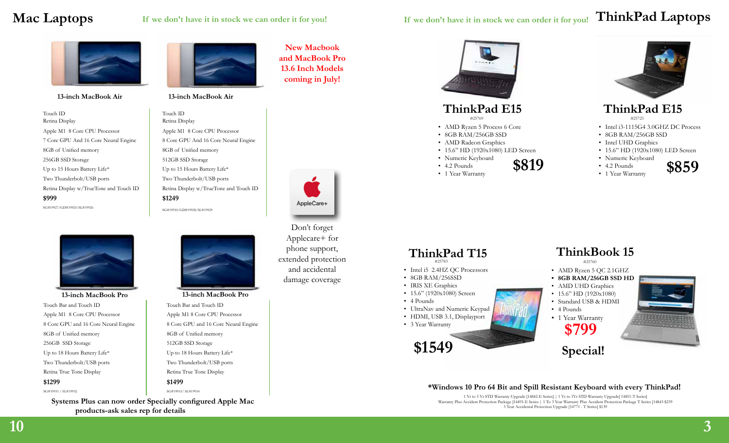# **Mac Laptops**

**13-inch MacBook Air 13-inch MacBook Air**

Touch ID Retina Display Apple M1 8 Core CPU Processor Apple M1 8 Core CPU Processor 7 Core GPU And 16 Core Neural Engine 8 Core GPU And 16 Core Neural Engine 8GB of Unified memory 8GB of Unified memory 256GB SSD Storage 512GB SSD Storage Up to 15 Hours Battery Life\* Up to 15 Hours Battery Life\* Two Thunderbolt/USB ports Two Thunderbolt/USB ports Retina Display w/TrueTone and Touch ID Retina Display w/TrueTone and Touch ID **\$999 \$1249** SG#19927/GD#19925/SL#19926 SG#19930/GD#19928/SL#19929



Touch Bar and Touch ID Apple M1 8 Core CPU Processor 8 Core GPU and 16 Core Neural Engine 8GB of Unified memory 256GB SSD Storage Up to 18 Hours Battery Life\* Two Thunderbolt/USB ports Retina True Tone Display **\$1299**  SG#19931 / SL#19932

**Systems Plus can now order Specially configured Apple Mac products-ask sales rep for details**



Touch ID Retina Display



#### **13-inch MacBook Pro 13-inch MacBook Pro**

Touch Bar and Touch ID Apple M1 8 Core CPU Processor 8 Core GPU and 16 Core Neural Engine 8GB of Unified memory 512GB SSD Storage Up to 18 Hours Battery Life\* Two Thunderbolt/USB ports Retina True Tone Display **\$1499** 

SG#19933/ SL#19934

**New Macbook and MacBook Pro 13.6 Inch Models coming in July!**





Applecare+ for phone support, extended protection and accidental damage coverage

# **ThinkPad E15**

#25769

- AMD Ryzen 5 Process 6 Core
- 8GB RAM/256GB SSD
- AMD Radeon Graphics
- 15.6" HD (1920x1080) LED Screen
- Numeric Keyboard
- 4.2 Pounds  $\cdot$  4.2 Pounds  $$819$
- 

### **ThinkPad E15**

#25723

- Intel i3-1115G4 3.0GHZ DC Process
- 8GB RAM/256GB SSD
- Intel UHD Graphics
- 15.6" HD (1920x1080) LED Screen
- Numeric Keyboard • 4.2 Pounds • 1 Year Warranty



### **ThinkPad T15** #25783

- Intel i5 2.4HZ QC Processors
- 8GB RAM/256SSD
- IRIS XE Graphics
- 15.6" (1920x1080) Screen
- 4 Pounds
- UltraNav and Numeric Keypad
- HDMI, USB 3.1, Displayport
- 3 Year Warranty



# **ThinkBook 15**

#25760

- AMD Ryzen 5 QC 2.1GHZ
- **• 8GB RAM/256GB SSD HD**
- AMD UHD Graphics
- 15.6" HD (1920x1080)
- Standard USB & HDMI
- 4 Pounds
- 1 Year Warranty **\$799**



**Special!**

### **\*Windows 10 Pro 64 Bit and Spill Resistant Keyboard with every ThinkPad!**

1 Yr to 3 Yr STD Warranty Upgrade [14842-E Series] | 1 Yr to 3Yr STD Warranty Upgrade[ 14851-T Series] Warranty Plus Accident Protection Package [14491-E Series | 1 To 3 Year Warranty Plus Accident Protection Package T Series [14843 \$239 3 Year Accidental Protection Upgrade [14771 - T Series] \$139



Don't forget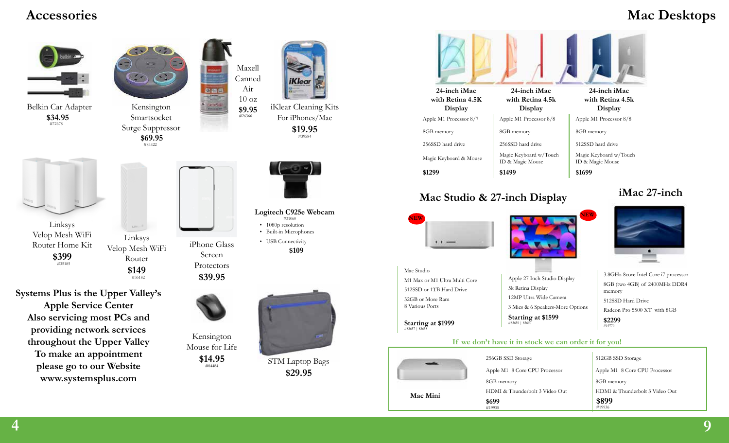## **Accessories**

# **Mac Desktops**





# **Mac Studio & 27-inch Display iMac 27-inch**

**NEW NEW**

Mac Studio

M1 Max or M1 Ultra Multi Core 512SSD or 1TB Hard Drive 32GB or More Ram 8 Various Ports

**Starting at \$1999** 



3.8GHz 8core Intel Core i7 processor 8GB (two 4GB) of 2400MHz DDR4 memory 512SSD Hard Drive Radeon Pro 5500 XT with 8GB **\$2299** #19770

### **If we don't have it in stock we can order it for you!**

**Starting at \$1599** #83659 | 83660

Apple 27 Inch Studio Display

3 Mics & 6 Speakers-More Options

5k Retina Display 12MP Ultra Wide Camera

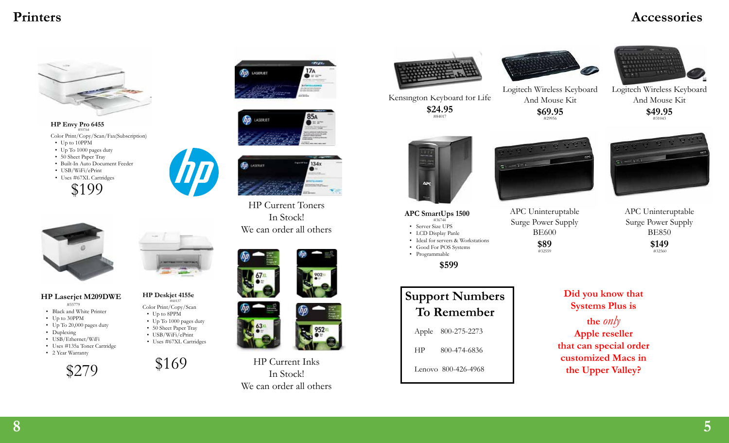# **Printers Accessories**



**HP Envy Pro 6455** #55764 Color Print/Copy/Scan/Fax(Subscription)

- Up to 10PPM
- Up To 1000 pages duty
- 50 Sheet Paper Tray
- Built-In Auto Document Feeder
- USB/WiFi/ePrint
- Uses #67XL Cartridges





**HP Laserjet M209DWE** #55779

- Black and White Printer
- Up to 30PPM
- Up To 20,000 pages duty
- Duplexing
- USB/Ethernet/WiFi
- Uses #135a Toner Cartridge
- 2 Year Warranty



#### **HP Deskjet 4155e** #60137

Color Print/Copy/Scan

- Up to 8PPM
- Up To 1000 pages duty • 50 Sheet Paper Tray
- USB/WiFi/ePrint
- Uses #67XL Cartridges
- 

\$169







HP Current Toners In Stock! We can order all others





HP Current Inks In Stock! We can order all others







Logitech Wireless Keyboard

Kensington Keyboard for Life **\$24.95** Logitech Wireless Keyboard

 $z = 1 - i$ 







APC Uninteruptable Surge Power Supply BE850 **\$149** #32560





- #36744
- Server Size UPS • LCD Display Panle
- Ideal for servers & Workstations
- Good For POS Systems
- Programmable

**\$599**

# **Support Numbers To Remember**

Apple 800-275-2273

HP 800-474-6836

Lenovo 800-426-4968



 $#32559$ 

**\$89**



**customized Macs in the Upper Valley?**